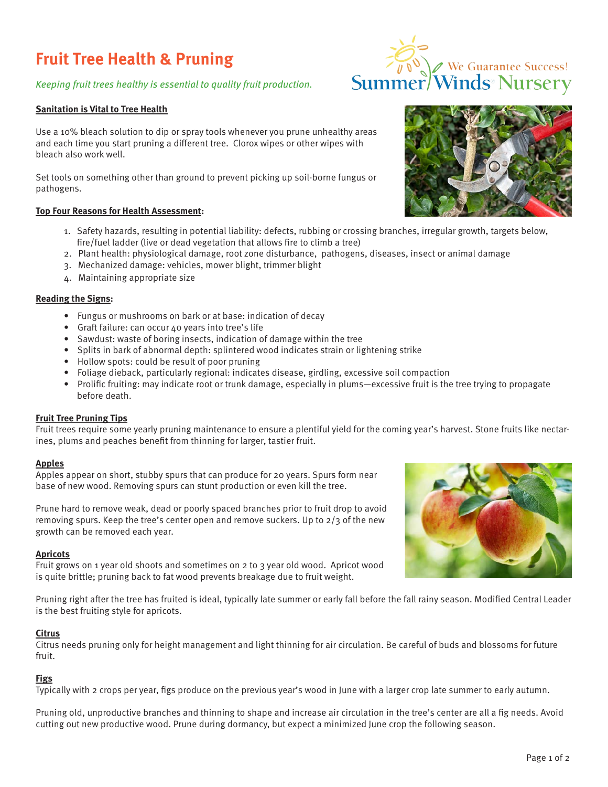# **Fruit Tree Health & Pruning**

# Keeping fruit trees healthy is essential to quality fruit production.

# **Sanitation is Vital to Tree Health**

Use a 10% bleach solution to dip or spray tools whenever you prune unhealthy areas and each time you start pruning a different tree. Clorox wipes or other wipes with bleach also work well.

Set tools on something other than ground to prevent picking up soil-borne fungus or pathogens.

# **Top Four Reasons for Health Assessment:**

- 1. Safety hazards, resulting in potential liability: defects, rubbing or crossing branches, irregular growth, targets below, fire/fuel ladder (live or dead vegetation that allows fire to climb a tree)
- 2. Plant health: physiological damage, root zone disturbance, pathogens, diseases, insect or animal damage
- 3. Mechanized damage: vehicles, mower blight, trimmer blight
- 4. Maintaining appropriate size

# **Reading the Signs:**

- Fungus or mushrooms on bark or at base: indication of decay
- Graft failure: can occur 40 years into tree's life
- Sawdust: waste of boring insects, indication of damage within the tree
- Splits in bark of abnormal depth: splintered wood indicates strain or lightening strike
- Hollow spots: could be result of poor pruning
- Foliage dieback, particularly regional: indicates disease, girdling, excessive soil compaction
- Prolific fruiting: may indicate root or trunk damage, especially in plums—excessive fruit is the tree trying to propagate before death.

# **Fruit Tree Pruning Tips**

Fruit trees require some yearly pruning maintenance to ensure a plentiful yield for the coming year's harvest. Stone fruits like nectarines, plums and peaches benefit from thinning for larger, tastier fruit.

## **Apples**

Apples appear on short, stubby spurs that can produce for 20 years. Spurs form near base of new wood. Removing spurs can stunt production or even kill the tree.

Prune hard to remove weak, dead or poorly spaced branches prior to fruit drop to avoid removing spurs. Keep the tree's center open and remove suckers. Up to  $2/3$  of the new growth can be removed each year.

## **Apricots**

Fruit grows on 1 year old shoots and sometimes on 2 to 3 year old wood. Apricot wood is quite brittle; pruning back to fat wood prevents breakage due to fruit weight.

Pruning right after the tree has fruited is ideal, typically late summer or early fall before the fall rainy season. Modified Central Leader is the best fruiting style for apricots.

## **Citrus**

Citrus needs pruning only for height management and light thinning for air circulation. Be careful of buds and blossoms for future fruit.

## **Figs**

Typically with 2 crops per year, figs produce on the previous year's wood in June with a larger crop late summer to early autumn.

Pruning old, unproductive branches and thinning to shape and increase air circulation in the tree's center are all a fig needs. Avoid cutting out new productive wood. Prune during dormancy, but expect a minimized June crop the following season.